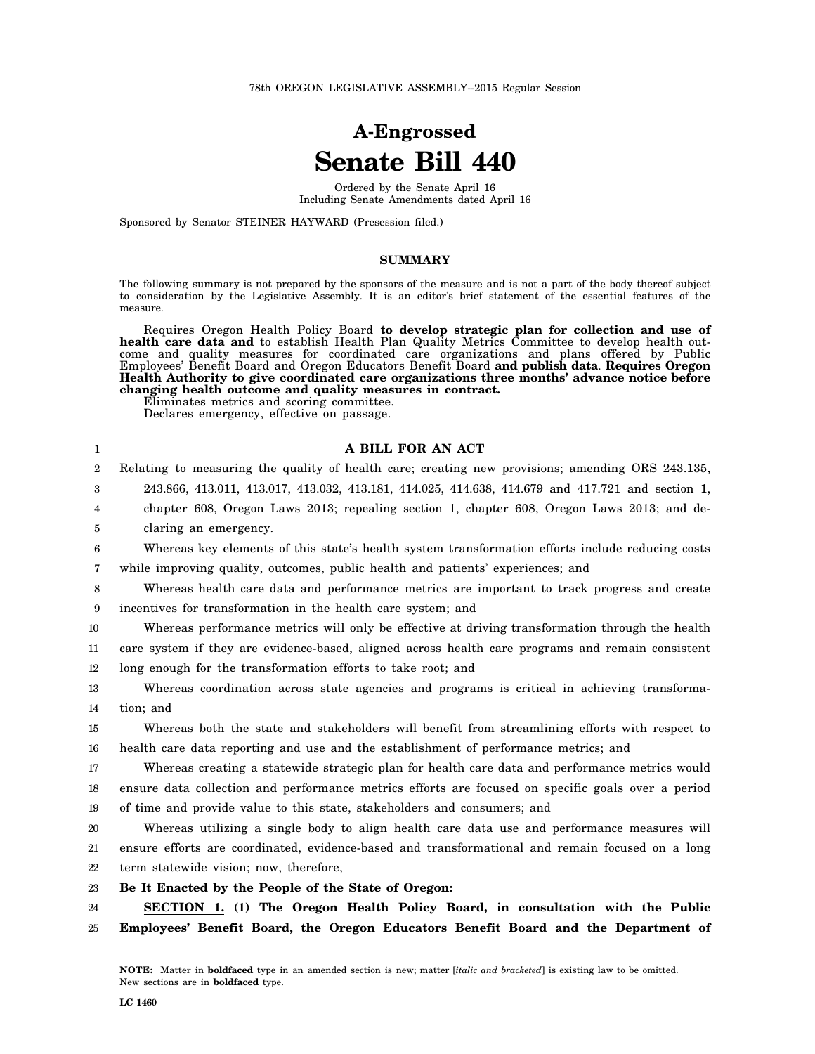# **A-Engrossed Senate Bill 440**

Ordered by the Senate April 16 Including Senate Amendments dated April 16

Sponsored by Senator STEINER HAYWARD (Presession filed.)

### **SUMMARY**

The following summary is not prepared by the sponsors of the measure and is not a part of the body thereof subject to consideration by the Legislative Assembly. It is an editor's brief statement of the essential features of the measure.

Requires Oregon Health Policy Board **to develop strategic plan for collection and use of health care data and** to establish Health Plan Quality Metrics Committee to develop health outcome and quality measures for coordinated care organizations and plans offered by Public Employees' Benefit Board and Oregon Educators Benefit Board **and publish data**. **Requires Oregon Health Authority to give coordinated care organizations three months' advance notice before changing health outcome and quality measures in contract.**

Eliminates metrics and scoring committee.

Declares emergency, effective on passage.

| 1                | A BILL FOR AN ACT                                                                                  |
|------------------|----------------------------------------------------------------------------------------------------|
| $\boldsymbol{2}$ | Relating to measuring the quality of health care; creating new provisions; amending ORS 243.135,   |
| 3                | 243.866, 413.011, 413.017, 413.032, 413.181, 414.025, 414.638, 414.679 and 417.721 and section 1,  |
| 4                | chapter 608, Oregon Laws 2013; repealing section 1, chapter 608, Oregon Laws 2013; and de-         |
| 5                | claring an emergency.                                                                              |
| 6                | Whereas key elements of this state's health system transformation efforts include reducing costs   |
| 7                | while improving quality, outcomes, public health and patients' experiences; and                    |
| 8                | Whereas health care data and performance metrics are important to track progress and create        |
| 9                | incentives for transformation in the health care system; and                                       |
| 10               | Whereas performance metrics will only be effective at driving transformation through the health    |
| 11               | care system if they are evidence-based, aligned across health care programs and remain consistent  |
| 12               | long enough for the transformation efforts to take root; and                                       |
| 13               | Whereas coordination across state agencies and programs is critical in achieving transforma-       |
| 14               | tion; and                                                                                          |
| 15               | Whereas both the state and stakeholders will benefit from streamlining efforts with respect to     |
| 16               | health care data reporting and use and the establishment of performance metrics; and               |
| 17               | Whereas creating a statewide strategic plan for health care data and performance metrics would     |
| 18               | ensure data collection and performance metrics efforts are focused on specific goals over a period |
| 19               | of time and provide value to this state, stakeholders and consumers; and                           |
| 20               | Whereas utilizing a single body to align health care data use and performance measures will        |
| 21               | ensure efforts are coordinated, evidence-based and transformational and remain focused on a long   |
| 22               | term statewide vision; now, therefore,                                                             |
| 23               | Be It Enacted by the People of the State of Oregon:                                                |
| 24               | SECTION 1. (1) The Oregon Health Policy Board, in consultation with the Public                     |
| 25               | Employees' Benefit Board, the Oregon Educators Benefit Board and the Department of                 |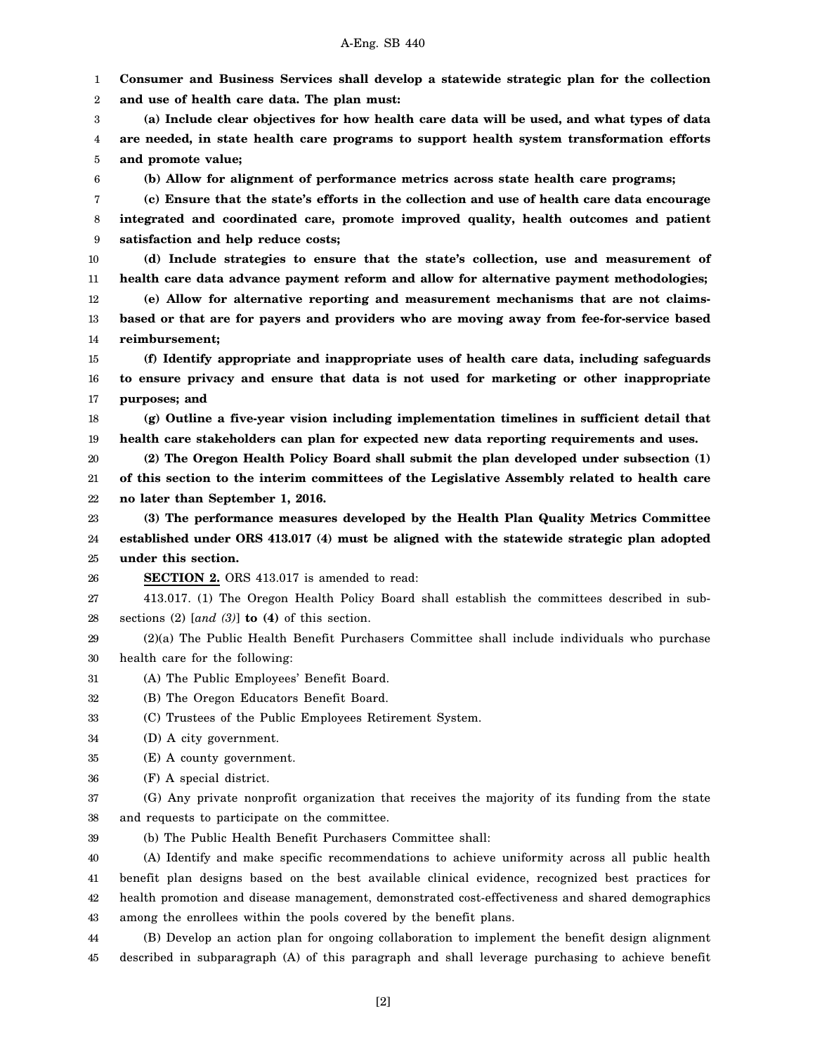1 2 **Consumer and Business Services shall develop a statewide strategic plan for the collection and use of health care data. The plan must:**

3 4 5 **(a) Include clear objectives for how health care data will be used, and what types of data are needed, in state health care programs to support health system transformation efforts and promote value;**

6

**(b) Allow for alignment of performance metrics across state health care programs;**

7 8 9 **(c) Ensure that the state's efforts in the collection and use of health care data encourage integrated and coordinated care, promote improved quality, health outcomes and patient satisfaction and help reduce costs;**

10 11 12 **(d) Include strategies to ensure that the state's collection, use and measurement of health care data advance payment reform and allow for alternative payment methodologies; (e) Allow for alternative reporting and measurement mechanisms that are not claims-**

13 14 **based or that are for payers and providers who are moving away from fee-for-service based reimbursement;**

15 16 17 **(f) Identify appropriate and inappropriate uses of health care data, including safeguards to ensure privacy and ensure that data is not used for marketing or other inappropriate purposes; and**

18 19 **(g) Outline a five-year vision including implementation timelines in sufficient detail that health care stakeholders can plan for expected new data reporting requirements and uses.**

20 21 22 **(2) The Oregon Health Policy Board shall submit the plan developed under subsection (1) of this section to the interim committees of the Legislative Assembly related to health care no later than September 1, 2016.**

23 24 25 **(3) The performance measures developed by the Health Plan Quality Metrics Committee established under ORS 413.017 (4) must be aligned with the statewide strategic plan adopted under this section.**

26 **SECTION 2.** ORS 413.017 is amended to read:

27 28 413.017. (1) The Oregon Health Policy Board shall establish the committees described in subsections (2) [*and (3)*] **to (4)** of this section.

29 30 (2)(a) The Public Health Benefit Purchasers Committee shall include individuals who purchase health care for the following:

31 (A) The Public Employees' Benefit Board.

32 (B) The Oregon Educators Benefit Board.

33 (C) Trustees of the Public Employees Retirement System.

- 34 (D) A city government.
- 35 (E) A county government.
- 36 (F) A special district.

37 38 (G) Any private nonprofit organization that receives the majority of its funding from the state and requests to participate on the committee.

39 (b) The Public Health Benefit Purchasers Committee shall:

40 41 42 43 (A) Identify and make specific recommendations to achieve uniformity across all public health benefit plan designs based on the best available clinical evidence, recognized best practices for health promotion and disease management, demonstrated cost-effectiveness and shared demographics among the enrollees within the pools covered by the benefit plans.

44 45 (B) Develop an action plan for ongoing collaboration to implement the benefit design alignment described in subparagraph (A) of this paragraph and shall leverage purchasing to achieve benefit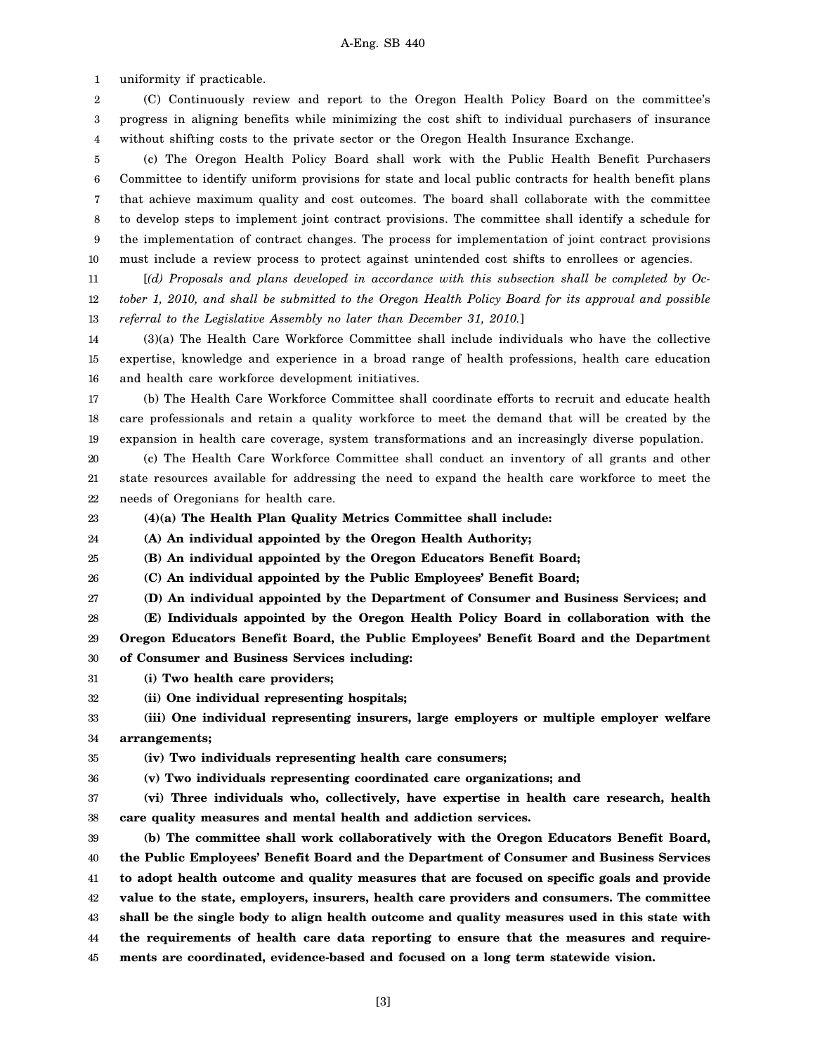1 uniformity if practicable.

2 3 4 (C) Continuously review and report to the Oregon Health Policy Board on the committee's progress in aligning benefits while minimizing the cost shift to individual purchasers of insurance without shifting costs to the private sector or the Oregon Health Insurance Exchange.

5 6 7 8 9 10 (c) The Oregon Health Policy Board shall work with the Public Health Benefit Purchasers Committee to identify uniform provisions for state and local public contracts for health benefit plans that achieve maximum quality and cost outcomes. The board shall collaborate with the committee to develop steps to implement joint contract provisions. The committee shall identify a schedule for the implementation of contract changes. The process for implementation of joint contract provisions must include a review process to protect against unintended cost shifts to enrollees or agencies.

11 12 13 [*(d) Proposals and plans developed in accordance with this subsection shall be completed by October 1, 2010, and shall be submitted to the Oregon Health Policy Board for its approval and possible referral to the Legislative Assembly no later than December 31, 2010.*]

14 15 16 (3)(a) The Health Care Workforce Committee shall include individuals who have the collective expertise, knowledge and experience in a broad range of health professions, health care education and health care workforce development initiatives.

17 18 19 (b) The Health Care Workforce Committee shall coordinate efforts to recruit and educate health care professionals and retain a quality workforce to meet the demand that will be created by the expansion in health care coverage, system transformations and an increasingly diverse population.

20 21 22 (c) The Health Care Workforce Committee shall conduct an inventory of all grants and other state resources available for addressing the need to expand the health care workforce to meet the needs of Oregonians for health care.

23

**(4)(a) The Health Plan Quality Metrics Committee shall include:**

24 **(A) An individual appointed by the Oregon Health Authority;**

25 **(B) An individual appointed by the Oregon Educators Benefit Board;**

26 **(C) An individual appointed by the Public Employees' Benefit Board;**

27 **(D) An individual appointed by the Department of Consumer and Business Services; and**

28 29 **(E) Individuals appointed by the Oregon Health Policy Board in collaboration with the Oregon Educators Benefit Board, the Public Employees' Benefit Board and the Department**

30 **of Consumer and Business Services including:**

31 **(i) Two health care providers;**

32 **(ii) One individual representing hospitals;**

#### 33 34 **(iii) One individual representing insurers, large employers or multiple employer welfare arrangements;**

35 **(iv) Two individuals representing health care consumers;**

36 **(v) Two individuals representing coordinated care organizations; and**

37 38 **(vi) Three individuals who, collectively, have expertise in health care research, health care quality measures and mental health and addiction services.**

39 40 41 42 43 44 45 **(b) The committee shall work collaboratively with the Oregon Educators Benefit Board, the Public Employees' Benefit Board and the Department of Consumer and Business Services to adopt health outcome and quality measures that are focused on specific goals and provide value to the state, employers, insurers, health care providers and consumers. The committee shall be the single body to align health outcome and quality measures used in this state with the requirements of health care data reporting to ensure that the measures and requirements are coordinated, evidence-based and focused on a long term statewide vision.**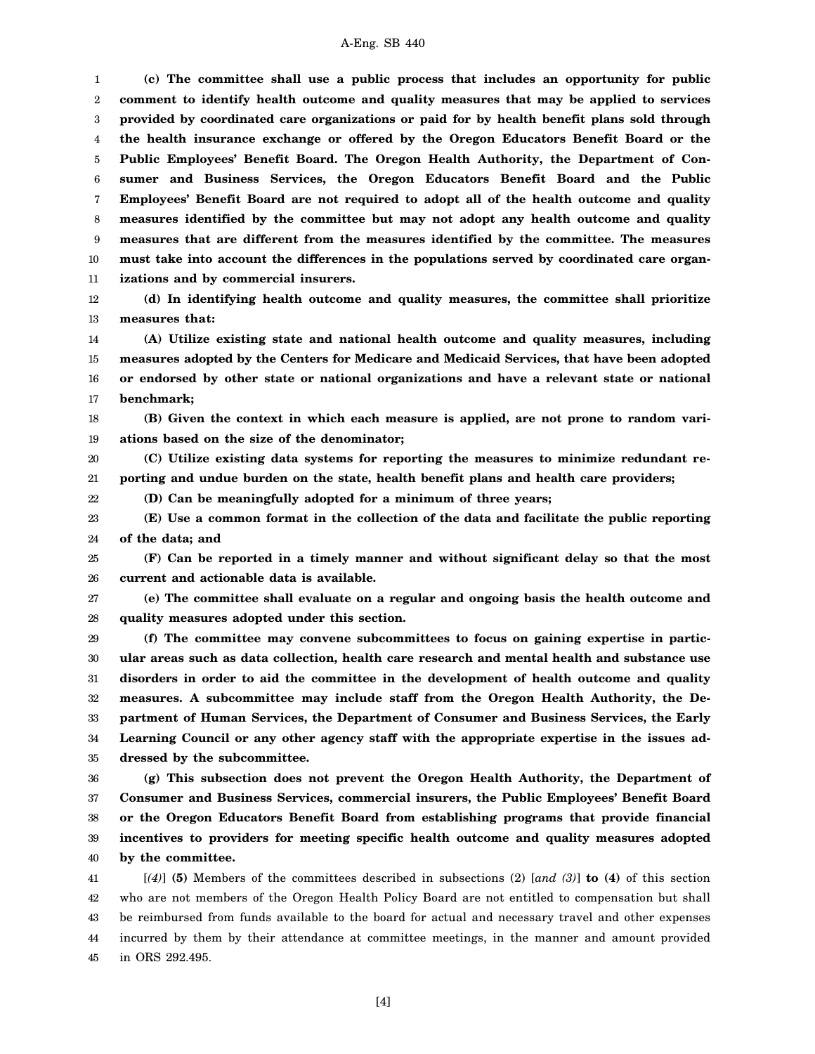1 2 3 4 5 6 7 8 9 10 11 **(c) The committee shall use a public process that includes an opportunity for public comment to identify health outcome and quality measures that may be applied to services provided by coordinated care organizations or paid for by health benefit plans sold through the health insurance exchange or offered by the Oregon Educators Benefit Board or the Public Employees' Benefit Board. The Oregon Health Authority, the Department of Consumer and Business Services, the Oregon Educators Benefit Board and the Public Employees' Benefit Board are not required to adopt all of the health outcome and quality measures identified by the committee but may not adopt any health outcome and quality measures that are different from the measures identified by the committee. The measures must take into account the differences in the populations served by coordinated care organizations and by commercial insurers.**

12

13

**(d) In identifying health outcome and quality measures, the committee shall prioritize measures that:**

14 15 16 17 **(A) Utilize existing state and national health outcome and quality measures, including measures adopted by the Centers for Medicare and Medicaid Services, that have been adopted or endorsed by other state or national organizations and have a relevant state or national benchmark;**

18

22

19 **(B) Given the context in which each measure is applied, are not prone to random variations based on the size of the denominator;**

20 21 **(C) Utilize existing data systems for reporting the measures to minimize redundant reporting and undue burden on the state, health benefit plans and health care providers;**

**(D) Can be meaningfully adopted for a minimum of three years;**

23 24 **(E) Use a common format in the collection of the data and facilitate the public reporting of the data; and**

25 26 **(F) Can be reported in a timely manner and without significant delay so that the most current and actionable data is available.**

27 28 **(e) The committee shall evaluate on a regular and ongoing basis the health outcome and quality measures adopted under this section.**

29 30 31 32 33 34 35 **(f) The committee may convene subcommittees to focus on gaining expertise in particular areas such as data collection, health care research and mental health and substance use disorders in order to aid the committee in the development of health outcome and quality measures. A subcommittee may include staff from the Oregon Health Authority, the Department of Human Services, the Department of Consumer and Business Services, the Early Learning Council or any other agency staff with the appropriate expertise in the issues addressed by the subcommittee.**

36 37 38 39 40 **(g) This subsection does not prevent the Oregon Health Authority, the Department of Consumer and Business Services, commercial insurers, the Public Employees' Benefit Board or the Oregon Educators Benefit Board from establishing programs that provide financial incentives to providers for meeting specific health outcome and quality measures adopted by the committee.**

41 42 43 44 45 [*(4)*] **(5)** Members of the committees described in subsections (2) [*and (3)*] **to (4)** of this section who are not members of the Oregon Health Policy Board are not entitled to compensation but shall be reimbursed from funds available to the board for actual and necessary travel and other expenses incurred by them by their attendance at committee meetings, in the manner and amount provided in ORS 292.495.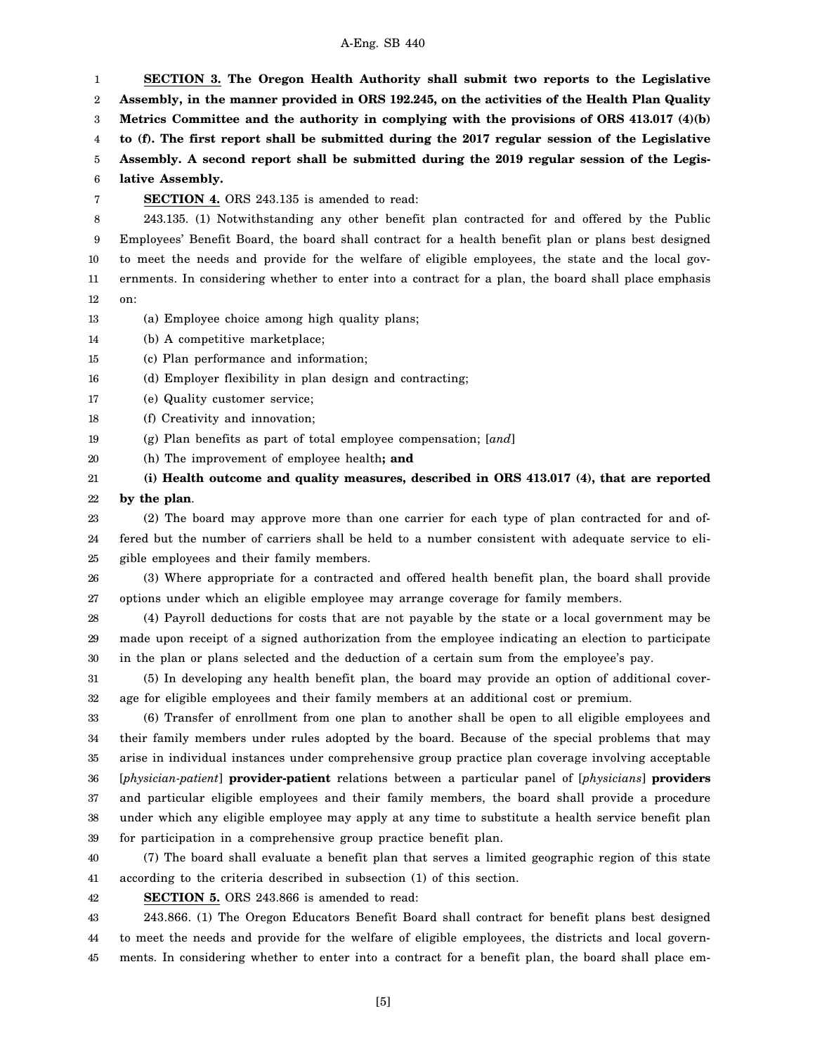1 2 3 4 5 6 7 8 9 10 11 12 13 14 15 **SECTION 3. The Oregon Health Authority shall submit two reports to the Legislative Assembly, in the manner provided in ORS 192.245, on the activities of the Health Plan Quality Metrics Committee and the authority in complying with the provisions of ORS 413.017 (4)(b) to (f). The first report shall be submitted during the 2017 regular session of the Legislative Assembly. A second report shall be submitted during the 2019 regular session of the Legislative Assembly. SECTION 4.** ORS 243.135 is amended to read: 243.135. (1) Notwithstanding any other benefit plan contracted for and offered by the Public Employees' Benefit Board, the board shall contract for a health benefit plan or plans best designed to meet the needs and provide for the welfare of eligible employees, the state and the local governments. In considering whether to enter into a contract for a plan, the board shall place emphasis on: (a) Employee choice among high quality plans; (b) A competitive marketplace; (c) Plan performance and information;

16 (d) Employer flexibility in plan design and contracting;

- 17 (e) Quality customer service;
- 18 (f) Creativity and innovation;
- 19 (g) Plan benefits as part of total employee compensation; [*and*]
- 20 (h) The improvement of employee health**; and**

21 22 **(i) Health outcome and quality measures, described in ORS 413.017 (4), that are reported by the plan**.

23 24 25 (2) The board may approve more than one carrier for each type of plan contracted for and offered but the number of carriers shall be held to a number consistent with adequate service to eligible employees and their family members.

26 27 (3) Where appropriate for a contracted and offered health benefit plan, the board shall provide options under which an eligible employee may arrange coverage for family members.

28 29 30 (4) Payroll deductions for costs that are not payable by the state or a local government may be made upon receipt of a signed authorization from the employee indicating an election to participate in the plan or plans selected and the deduction of a certain sum from the employee's pay.

31 32 (5) In developing any health benefit plan, the board may provide an option of additional coverage for eligible employees and their family members at an additional cost or premium.

33 34 35 36 37 38 39 (6) Transfer of enrollment from one plan to another shall be open to all eligible employees and their family members under rules adopted by the board. Because of the special problems that may arise in individual instances under comprehensive group practice plan coverage involving acceptable [*physician-patient*] **provider-patient** relations between a particular panel of [*physicians*] **providers** and particular eligible employees and their family members, the board shall provide a procedure under which any eligible employee may apply at any time to substitute a health service benefit plan for participation in a comprehensive group practice benefit plan.

40 41 (7) The board shall evaluate a benefit plan that serves a limited geographic region of this state according to the criteria described in subsection (1) of this section.

42 **SECTION 5.** ORS 243.866 is amended to read:

43 44 45 243.866. (1) The Oregon Educators Benefit Board shall contract for benefit plans best designed to meet the needs and provide for the welfare of eligible employees, the districts and local governments. In considering whether to enter into a contract for a benefit plan, the board shall place em-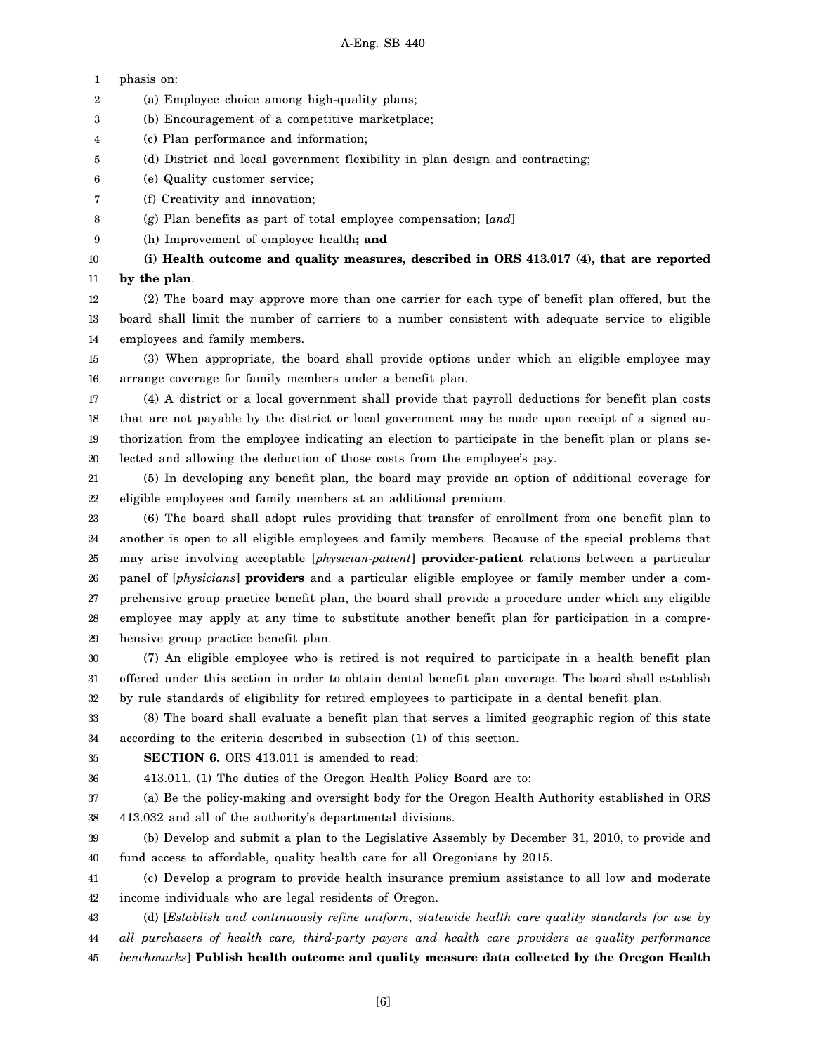1 2 3 4 5 6 7 8 9 10 11 12 13 14 15 16 17 18 19 20 21 22 23 24 25 26 27 28 29 30 31 32 phasis on: (a) Employee choice among high-quality plans; (b) Encouragement of a competitive marketplace; (c) Plan performance and information; (d) District and local government flexibility in plan design and contracting; (e) Quality customer service; (f) Creativity and innovation; (g) Plan benefits as part of total employee compensation; [*and*] (h) Improvement of employee health**; and (i) Health outcome and quality measures, described in ORS 413.017 (4), that are reported by the plan**. (2) The board may approve more than one carrier for each type of benefit plan offered, but the board shall limit the number of carriers to a number consistent with adequate service to eligible employees and family members. (3) When appropriate, the board shall provide options under which an eligible employee may arrange coverage for family members under a benefit plan. (4) A district or a local government shall provide that payroll deductions for benefit plan costs that are not payable by the district or local government may be made upon receipt of a signed authorization from the employee indicating an election to participate in the benefit plan or plans selected and allowing the deduction of those costs from the employee's pay. (5) In developing any benefit plan, the board may provide an option of additional coverage for eligible employees and family members at an additional premium. (6) The board shall adopt rules providing that transfer of enrollment from one benefit plan to another is open to all eligible employees and family members. Because of the special problems that may arise involving acceptable [*physician-patient*] **provider-patient** relations between a particular panel of [*physicians*] **providers** and a particular eligible employee or family member under a comprehensive group practice benefit plan, the board shall provide a procedure under which any eligible employee may apply at any time to substitute another benefit plan for participation in a comprehensive group practice benefit plan. (7) An eligible employee who is retired is not required to participate in a health benefit plan offered under this section in order to obtain dental benefit plan coverage. The board shall establish by rule standards of eligibility for retired employees to participate in a dental benefit plan.

33 34 (8) The board shall evaluate a benefit plan that serves a limited geographic region of this state according to the criteria described in subsection (1) of this section.

35

**SECTION 6.** ORS 413.011 is amended to read:

36 413.011. (1) The duties of the Oregon Health Policy Board are to:

37 38 (a) Be the policy-making and oversight body for the Oregon Health Authority established in ORS 413.032 and all of the authority's departmental divisions.

39 40 (b) Develop and submit a plan to the Legislative Assembly by December 31, 2010, to provide and fund access to affordable, quality health care for all Oregonians by 2015.

41 42 (c) Develop a program to provide health insurance premium assistance to all low and moderate income individuals who are legal residents of Oregon.

43 44 45 (d) [*Establish and continuously refine uniform, statewide health care quality standards for use by all purchasers of health care, third-party payers and health care providers as quality performance benchmarks*] **Publish health outcome and quality measure data collected by the Oregon Health**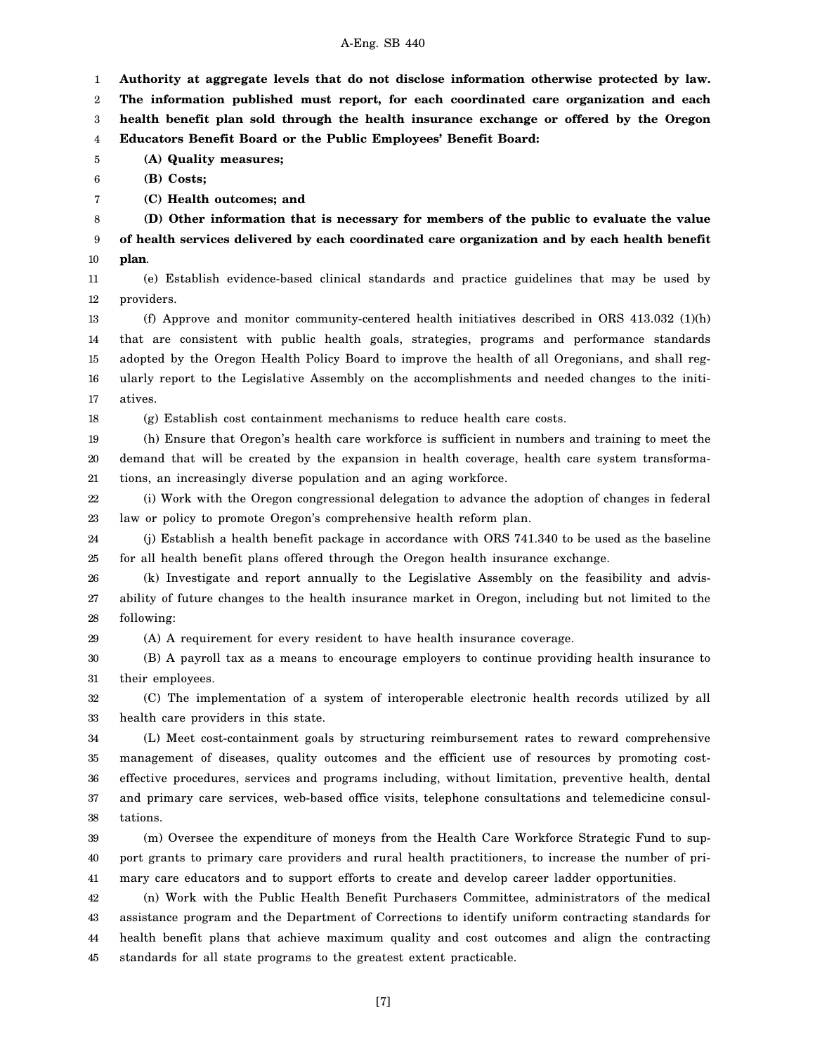1 **Authority at aggregate levels that do not disclose information otherwise protected by law.**

2 3 **The information published must report, for each coordinated care organization and each health benefit plan sold through the health insurance exchange or offered by the Oregon**

4 **Educators Benefit Board or the Public Employees' Benefit Board:**

5 **(A) Quality measures;**

6 **(B) Costs;**

7

**(C) Health outcomes; and**

8 9 10 **(D) Other information that is necessary for members of the public to evaluate the value of health services delivered by each coordinated care organization and by each health benefit plan**.

11 12 (e) Establish evidence-based clinical standards and practice guidelines that may be used by providers.

13 14 15 16 17 (f) Approve and monitor community-centered health initiatives described in ORS  $413.032$  (1)(h) that are consistent with public health goals, strategies, programs and performance standards adopted by the Oregon Health Policy Board to improve the health of all Oregonians, and shall regularly report to the Legislative Assembly on the accomplishments and needed changes to the initiatives.

18 (g) Establish cost containment mechanisms to reduce health care costs.

19 20 21 (h) Ensure that Oregon's health care workforce is sufficient in numbers and training to meet the demand that will be created by the expansion in health coverage, health care system transformations, an increasingly diverse population and an aging workforce.

22 23 (i) Work with the Oregon congressional delegation to advance the adoption of changes in federal law or policy to promote Oregon's comprehensive health reform plan.

24 25 (j) Establish a health benefit package in accordance with ORS 741.340 to be used as the baseline for all health benefit plans offered through the Oregon health insurance exchange.

26 27 28 (k) Investigate and report annually to the Legislative Assembly on the feasibility and advisability of future changes to the health insurance market in Oregon, including but not limited to the following:

29 (A) A requirement for every resident to have health insurance coverage.

30 31 (B) A payroll tax as a means to encourage employers to continue providing health insurance to their employees.

32 33 (C) The implementation of a system of interoperable electronic health records utilized by all health care providers in this state.

34 35 36 37 38 (L) Meet cost-containment goals by structuring reimbursement rates to reward comprehensive management of diseases, quality outcomes and the efficient use of resources by promoting costeffective procedures, services and programs including, without limitation, preventive health, dental and primary care services, web-based office visits, telephone consultations and telemedicine consultations.

39 40 41 (m) Oversee the expenditure of moneys from the Health Care Workforce Strategic Fund to support grants to primary care providers and rural health practitioners, to increase the number of primary care educators and to support efforts to create and develop career ladder opportunities.

42 43 44 45 (n) Work with the Public Health Benefit Purchasers Committee, administrators of the medical assistance program and the Department of Corrections to identify uniform contracting standards for health benefit plans that achieve maximum quality and cost outcomes and align the contracting standards for all state programs to the greatest extent practicable.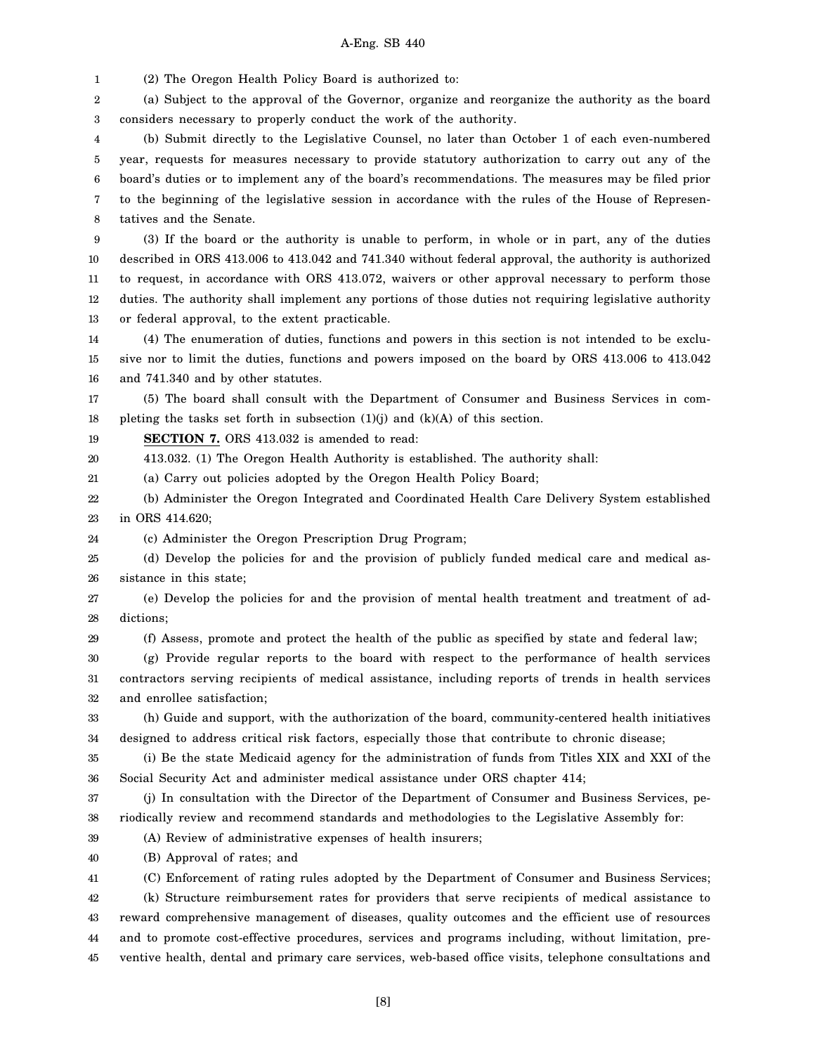1 (2) The Oregon Health Policy Board is authorized to:

2 3 (a) Subject to the approval of the Governor, organize and reorganize the authority as the board considers necessary to properly conduct the work of the authority.

4 5 6 7 8 (b) Submit directly to the Legislative Counsel, no later than October 1 of each even-numbered year, requests for measures necessary to provide statutory authorization to carry out any of the board's duties or to implement any of the board's recommendations. The measures may be filed prior to the beginning of the legislative session in accordance with the rules of the House of Representatives and the Senate.

9 10 11 12 13 (3) If the board or the authority is unable to perform, in whole or in part, any of the duties described in ORS 413.006 to 413.042 and 741.340 without federal approval, the authority is authorized to request, in accordance with ORS 413.072, waivers or other approval necessary to perform those duties. The authority shall implement any portions of those duties not requiring legislative authority or federal approval, to the extent practicable.

14 15 16 (4) The enumeration of duties, functions and powers in this section is not intended to be exclusive nor to limit the duties, functions and powers imposed on the board by ORS 413.006 to 413.042 and 741.340 and by other statutes.

17 18 (5) The board shall consult with the Department of Consumer and Business Services in completing the tasks set forth in subsection  $(1)(j)$  and  $(k)(A)$  of this section.

19 **SECTION 7.** ORS 413.032 is amended to read:

20 413.032. (1) The Oregon Health Authority is established. The authority shall:

21 (a) Carry out policies adopted by the Oregon Health Policy Board;

(A) Review of administrative expenses of health insurers;

22 23 (b) Administer the Oregon Integrated and Coordinated Health Care Delivery System established in ORS 414.620;

24 (c) Administer the Oregon Prescription Drug Program;

25 26 (d) Develop the policies for and the provision of publicly funded medical care and medical assistance in this state;

27 28 (e) Develop the policies for and the provision of mental health treatment and treatment of addictions;

29 (f) Assess, promote and protect the health of the public as specified by state and federal law;

30 31 32 (g) Provide regular reports to the board with respect to the performance of health services contractors serving recipients of medical assistance, including reports of trends in health services and enrollee satisfaction;

33 34 (h) Guide and support, with the authorization of the board, community-centered health initiatives designed to address critical risk factors, especially those that contribute to chronic disease;

35 36 (i) Be the state Medicaid agency for the administration of funds from Titles XIX and XXI of the Social Security Act and administer medical assistance under ORS chapter 414;

37 38 (j) In consultation with the Director of the Department of Consumer and Business Services, periodically review and recommend standards and methodologies to the Legislative Assembly for:

39 40

(B) Approval of rates; and

41 (C) Enforcement of rating rules adopted by the Department of Consumer and Business Services;

42 43 44 45 (k) Structure reimbursement rates for providers that serve recipients of medical assistance to reward comprehensive management of diseases, quality outcomes and the efficient use of resources and to promote cost-effective procedures, services and programs including, without limitation, preventive health, dental and primary care services, web-based office visits, telephone consultations and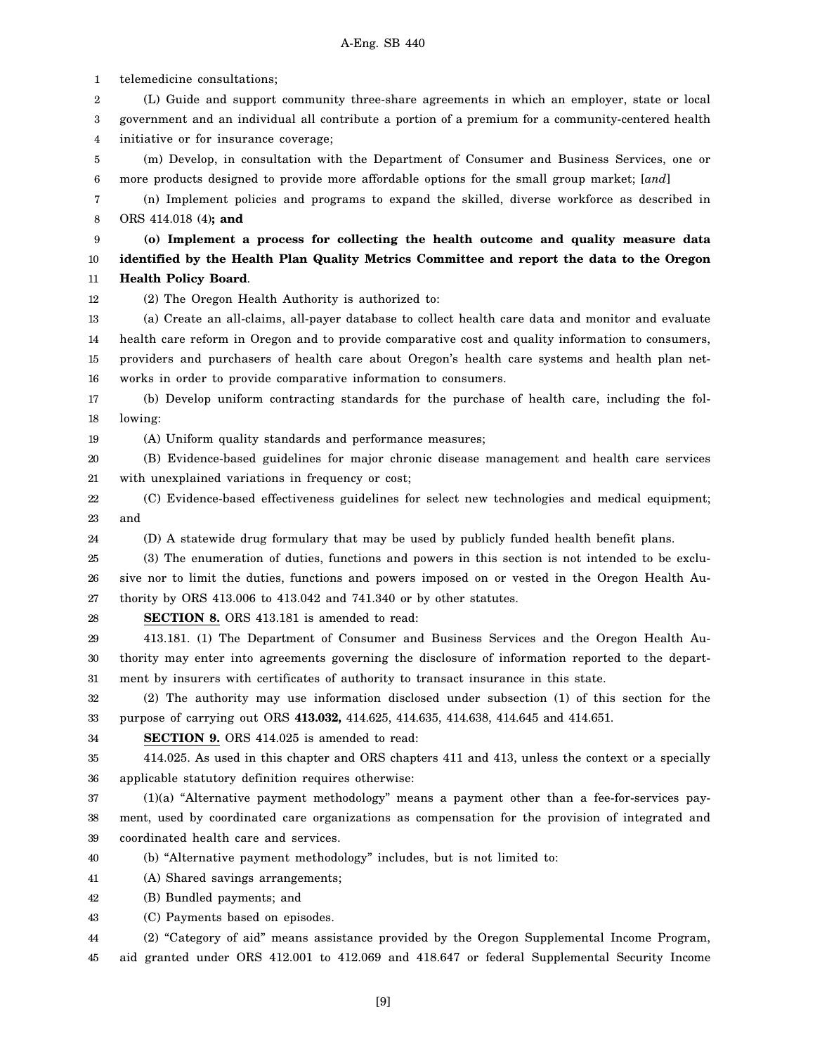1 2 3 4 5 6 7 8 9 10 11 12 13 14 15 16 17 18 19 20 21 22 23 24 25 26 27 28 29 30 31 32 33 34 35 36 37 38 39 40 41 42 43 44 telemedicine consultations; (L) Guide and support community three-share agreements in which an employer, state or local government and an individual all contribute a portion of a premium for a community-centered health initiative or for insurance coverage; (m) Develop, in consultation with the Department of Consumer and Business Services, one or more products designed to provide more affordable options for the small group market; [*and*] (n) Implement policies and programs to expand the skilled, diverse workforce as described in ORS 414.018 (4)**; and (o) Implement a process for collecting the health outcome and quality measure data identified by the Health Plan Quality Metrics Committee and report the data to the Oregon Health Policy Board**. (2) The Oregon Health Authority is authorized to: (a) Create an all-claims, all-payer database to collect health care data and monitor and evaluate health care reform in Oregon and to provide comparative cost and quality information to consumers, providers and purchasers of health care about Oregon's health care systems and health plan networks in order to provide comparative information to consumers. (b) Develop uniform contracting standards for the purchase of health care, including the following: (A) Uniform quality standards and performance measures; (B) Evidence-based guidelines for major chronic disease management and health care services with unexplained variations in frequency or cost; (C) Evidence-based effectiveness guidelines for select new technologies and medical equipment; and (D) A statewide drug formulary that may be used by publicly funded health benefit plans. (3) The enumeration of duties, functions and powers in this section is not intended to be exclusive nor to limit the duties, functions and powers imposed on or vested in the Oregon Health Authority by ORS 413.006 to 413.042 and 741.340 or by other statutes. **SECTION 8.** ORS 413.181 is amended to read: 413.181. (1) The Department of Consumer and Business Services and the Oregon Health Authority may enter into agreements governing the disclosure of information reported to the department by insurers with certificates of authority to transact insurance in this state. (2) The authority may use information disclosed under subsection (1) of this section for the purpose of carrying out ORS **413.032,** 414.625, 414.635, 414.638, 414.645 and 414.651. **SECTION 9.** ORS 414.025 is amended to read: 414.025. As used in this chapter and ORS chapters 411 and 413, unless the context or a specially applicable statutory definition requires otherwise: (1)(a) "Alternative payment methodology" means a payment other than a fee-for-services payment, used by coordinated care organizations as compensation for the provision of integrated and coordinated health care and services. (b) "Alternative payment methodology" includes, but is not limited to: (A) Shared savings arrangements; (B) Bundled payments; and (C) Payments based on episodes. (2) "Category of aid" means assistance provided by the Oregon Supplemental Income Program,

45 aid granted under ORS 412.001 to 412.069 and 418.647 or federal Supplemental Security Income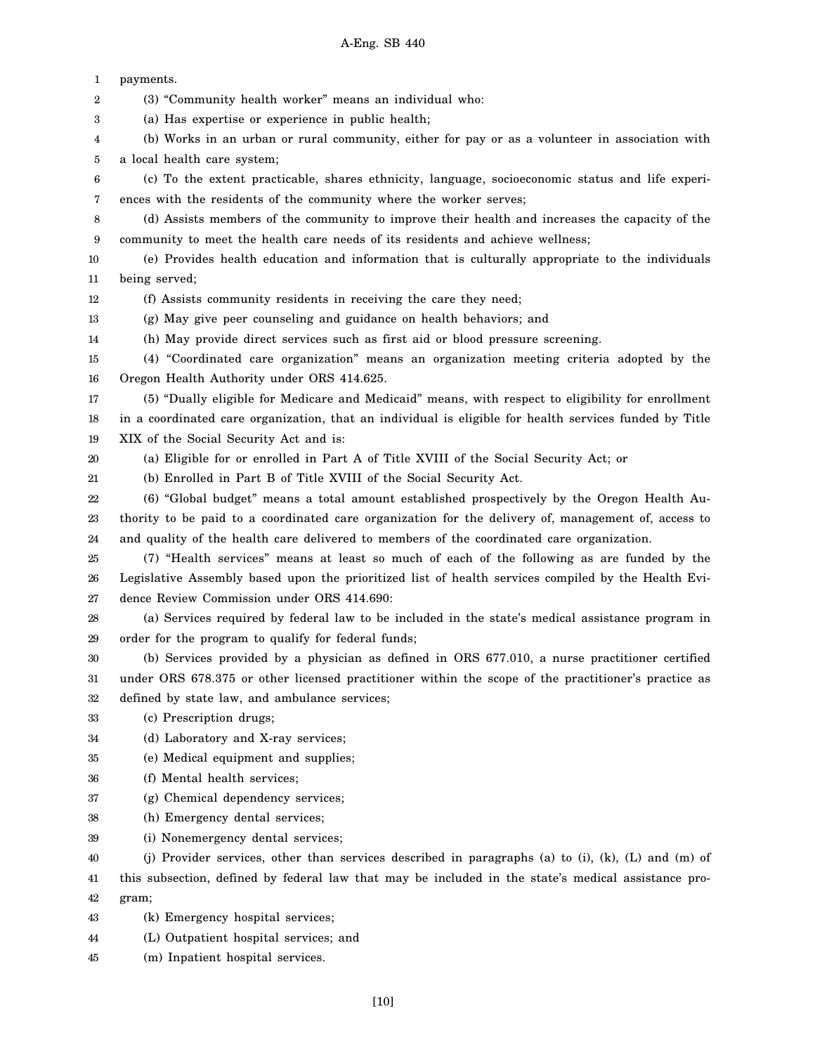1 2 3 4 5 6 7 8 9 10 11 12 13 14 15 16 17 18 19 20 21 22 23 24 25 26 27 28 29 30 31 32 33 34 35 36 37 38 39 40 41 42 43 44 payments. (3) "Community health worker" means an individual who: (a) Has expertise or experience in public health; (b) Works in an urban or rural community, either for pay or as a volunteer in association with a local health care system; (c) To the extent practicable, shares ethnicity, language, socioeconomic status and life experiences with the residents of the community where the worker serves; (d) Assists members of the community to improve their health and increases the capacity of the community to meet the health care needs of its residents and achieve wellness; (e) Provides health education and information that is culturally appropriate to the individuals being served; (f) Assists community residents in receiving the care they need; (g) May give peer counseling and guidance on health behaviors; and (h) May provide direct services such as first aid or blood pressure screening. (4) "Coordinated care organization" means an organization meeting criteria adopted by the Oregon Health Authority under ORS 414.625. (5) "Dually eligible for Medicare and Medicaid" means, with respect to eligibility for enrollment in a coordinated care organization, that an individual is eligible for health services funded by Title XIX of the Social Security Act and is: (a) Eligible for or enrolled in Part A of Title XVIII of the Social Security Act; or (b) Enrolled in Part B of Title XVIII of the Social Security Act. (6) "Global budget" means a total amount established prospectively by the Oregon Health Authority to be paid to a coordinated care organization for the delivery of, management of, access to and quality of the health care delivered to members of the coordinated care organization. (7) "Health services" means at least so much of each of the following as are funded by the Legislative Assembly based upon the prioritized list of health services compiled by the Health Evidence Review Commission under ORS 414.690: (a) Services required by federal law to be included in the state's medical assistance program in order for the program to qualify for federal funds; (b) Services provided by a physician as defined in ORS 677.010, a nurse practitioner certified under ORS 678.375 or other licensed practitioner within the scope of the practitioner's practice as defined by state law, and ambulance services; (c) Prescription drugs; (d) Laboratory and X-ray services; (e) Medical equipment and supplies; (f) Mental health services; (g) Chemical dependency services; (h) Emergency dental services; (i) Nonemergency dental services; (j) Provider services, other than services described in paragraphs (a) to (i), (k), (L) and (m) of this subsection, defined by federal law that may be included in the state's medical assistance program; (k) Emergency hospital services; (L) Outpatient hospital services; and

45 (m) Inpatient hospital services.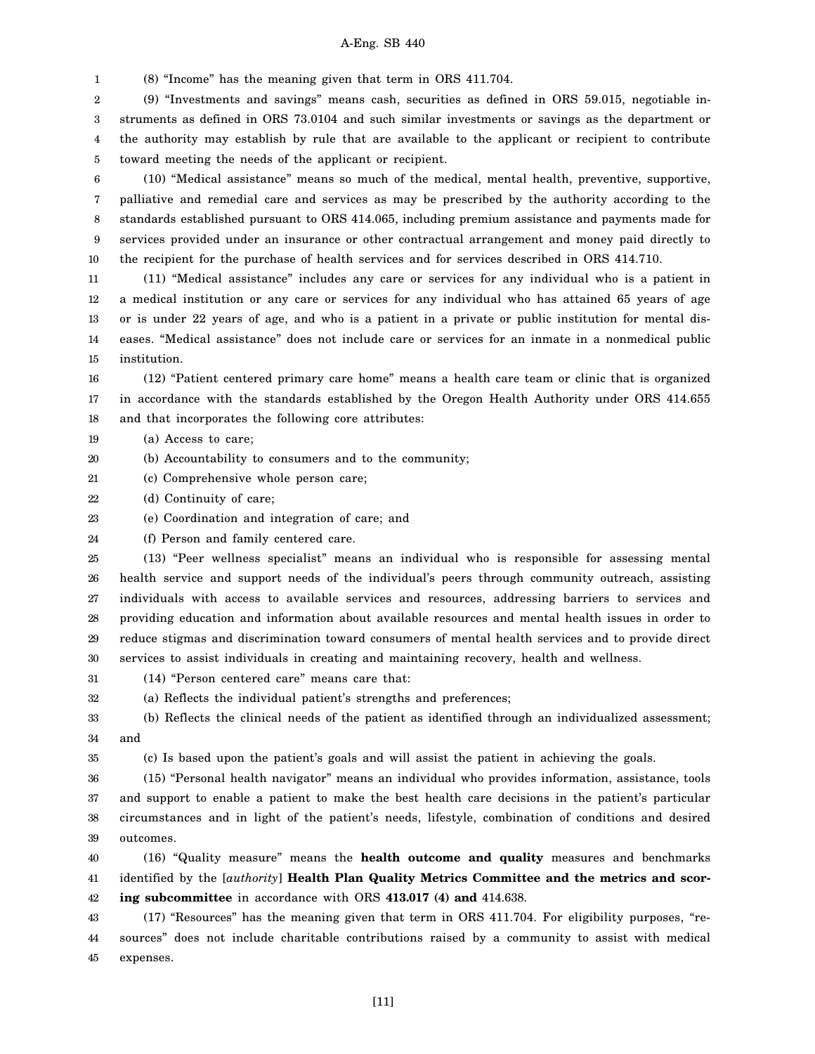1 (8) "Income" has the meaning given that term in ORS 411.704.

2 3 4 5 (9) "Investments and savings" means cash, securities as defined in ORS 59.015, negotiable instruments as defined in ORS 73.0104 and such similar investments or savings as the department or the authority may establish by rule that are available to the applicant or recipient to contribute toward meeting the needs of the applicant or recipient.

6 7 8 9 10 (10) "Medical assistance" means so much of the medical, mental health, preventive, supportive, palliative and remedial care and services as may be prescribed by the authority according to the standards established pursuant to ORS 414.065, including premium assistance and payments made for services provided under an insurance or other contractual arrangement and money paid directly to the recipient for the purchase of health services and for services described in ORS 414.710.

11 12 13 14 15 (11) "Medical assistance" includes any care or services for any individual who is a patient in a medical institution or any care or services for any individual who has attained 65 years of age or is under 22 years of age, and who is a patient in a private or public institution for mental diseases. "Medical assistance" does not include care or services for an inmate in a nonmedical public institution.

16 17 18 (12) "Patient centered primary care home" means a health care team or clinic that is organized in accordance with the standards established by the Oregon Health Authority under ORS 414.655 and that incorporates the following core attributes:

19 (a) Access to care;

20 (b) Accountability to consumers and to the community;

21 (c) Comprehensive whole person care;

22 (d) Continuity of care;

23 (e) Coordination and integration of care; and

24 (f) Person and family centered care.

25 26 27 28 29 30 (13) "Peer wellness specialist" means an individual who is responsible for assessing mental health service and support needs of the individual's peers through community outreach, assisting individuals with access to available services and resources, addressing barriers to services and providing education and information about available resources and mental health issues in order to reduce stigmas and discrimination toward consumers of mental health services and to provide direct services to assist individuals in creating and maintaining recovery, health and wellness.

31 (14) "Person centered care" means care that:

32 (a) Reflects the individual patient's strengths and preferences;

33 34 (b) Reflects the clinical needs of the patient as identified through an individualized assessment; and

35

(c) Is based upon the patient's goals and will assist the patient in achieving the goals.

36 37 38 39 (15) "Personal health navigator" means an individual who provides information, assistance, tools and support to enable a patient to make the best health care decisions in the patient's particular circumstances and in light of the patient's needs, lifestyle, combination of conditions and desired outcomes.

40 41 42 (16) "Quality measure" means the **health outcome and quality** measures and benchmarks identified by the [*authority*] **Health Plan Quality Metrics Committee and the metrics and scoring subcommittee** in accordance with ORS **413.017 (4) and** 414.638.

43 44 45 (17) "Resources" has the meaning given that term in ORS 411.704. For eligibility purposes, "resources" does not include charitable contributions raised by a community to assist with medical expenses.

[11]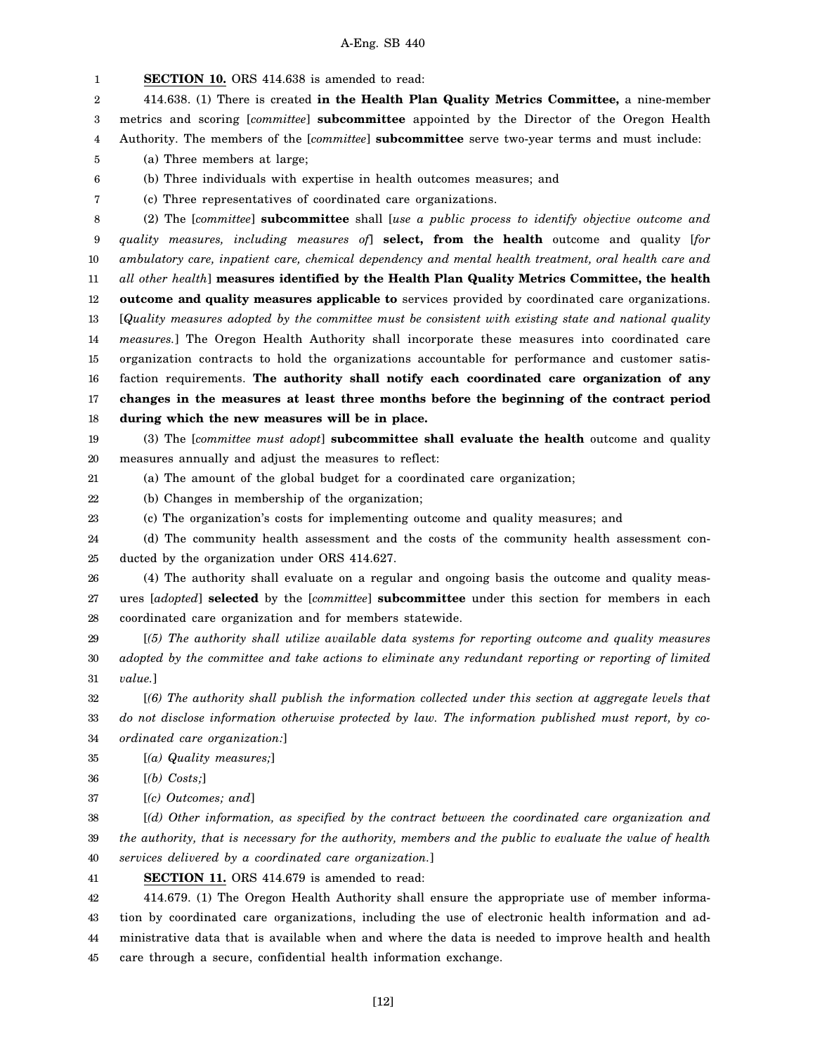1 2 3 4 5 6 7 8 9 10 11 12 13 14 15 16 17 18 19 20 21 22 23 24 25 **SECTION 10.** ORS 414.638 is amended to read: 414.638. (1) There is created **in the Health Plan Quality Metrics Committee,** a nine-member metrics and scoring [*committee*] **subcommittee** appointed by the Director of the Oregon Health Authority. The members of the [*committee*] **subcommittee** serve two-year terms and must include: (a) Three members at large; (b) Three individuals with expertise in health outcomes measures; and (c) Three representatives of coordinated care organizations. (2) The [*committee*] **subcommittee** shall [*use a public process to identify objective outcome and quality measures, including measures of*] **select, from the health** outcome and quality [*for ambulatory care, inpatient care, chemical dependency and mental health treatment, oral health care and all other health*] **measures identified by the Health Plan Quality Metrics Committee, the health outcome and quality measures applicable to** services provided by coordinated care organizations. [*Quality measures adopted by the committee must be consistent with existing state and national quality measures.*] The Oregon Health Authority shall incorporate these measures into coordinated care organization contracts to hold the organizations accountable for performance and customer satisfaction requirements. **The authority shall notify each coordinated care organization of any changes in the measures at least three months before the beginning of the contract period during which the new measures will be in place.** (3) The [*committee must adopt*] **subcommittee shall evaluate the health** outcome and quality measures annually and adjust the measures to reflect: (a) The amount of the global budget for a coordinated care organization; (b) Changes in membership of the organization; (c) The organization's costs for implementing outcome and quality measures; and (d) The community health assessment and the costs of the community health assessment conducted by the organization under ORS 414.627.

26 27 28 (4) The authority shall evaluate on a regular and ongoing basis the outcome and quality measures [*adopted*] **selected** by the [*committee*] **subcommittee** under this section for members in each coordinated care organization and for members statewide.

29 30 31 [*(5) The authority shall utilize available data systems for reporting outcome and quality measures adopted by the committee and take actions to eliminate any redundant reporting or reporting of limited value.*]

32 33 34 [*(6) The authority shall publish the information collected under this section at aggregate levels that do not disclose information otherwise protected by law. The information published must report, by coordinated care organization:*]

35 [*(a) Quality measures;*]

36 [*(b) Costs;*]

37 [*(c) Outcomes; and*]

38 39 40 [*(d) Other information, as specified by the contract between the coordinated care organization and the authority, that is necessary for the authority, members and the public to evaluate the value of health services delivered by a coordinated care organization.*]

41 **SECTION 11.** ORS 414.679 is amended to read:

42 43 44 45 414.679. (1) The Oregon Health Authority shall ensure the appropriate use of member information by coordinated care organizations, including the use of electronic health information and administrative data that is available when and where the data is needed to improve health and health care through a secure, confidential health information exchange.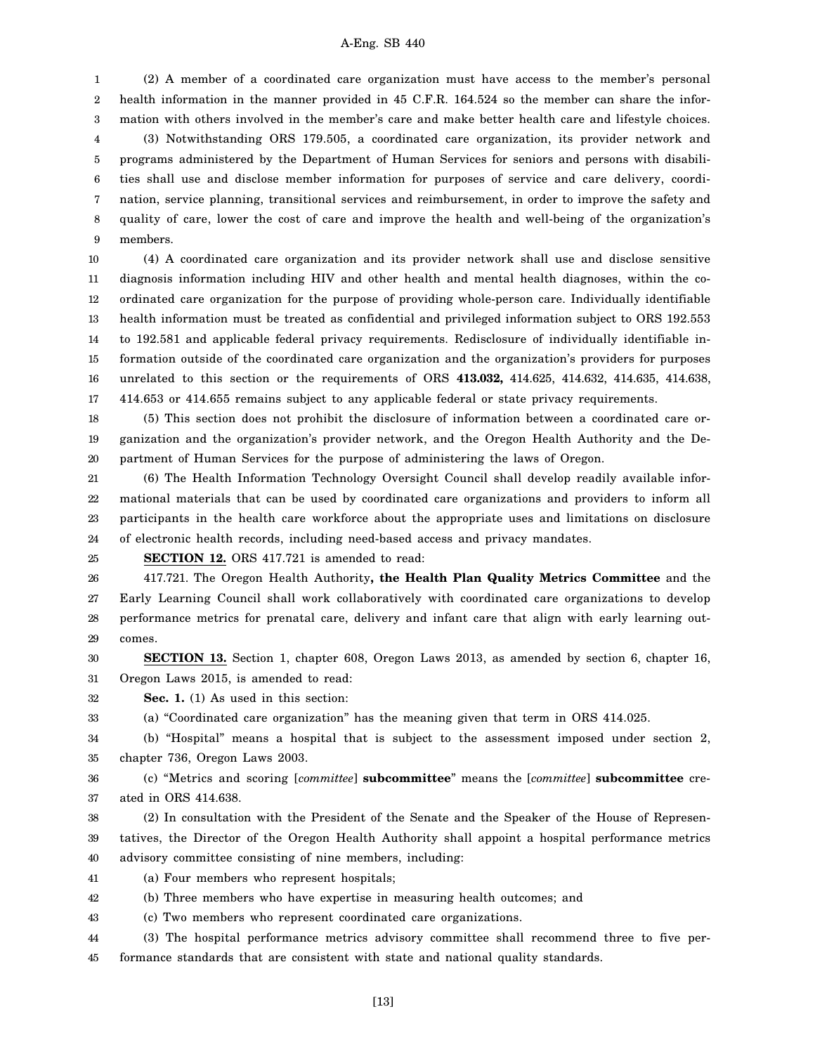1 2 3 4 5 6 7 8 9 (2) A member of a coordinated care organization must have access to the member's personal health information in the manner provided in 45 C.F.R. 164.524 so the member can share the information with others involved in the member's care and make better health care and lifestyle choices. (3) Notwithstanding ORS 179.505, a coordinated care organization, its provider network and programs administered by the Department of Human Services for seniors and persons with disabilities shall use and disclose member information for purposes of service and care delivery, coordination, service planning, transitional services and reimbursement, in order to improve the safety and quality of care, lower the cost of care and improve the health and well-being of the organization's members.

10 11 12 13 14 15 16 17 (4) A coordinated care organization and its provider network shall use and disclose sensitive diagnosis information including HIV and other health and mental health diagnoses, within the coordinated care organization for the purpose of providing whole-person care. Individually identifiable health information must be treated as confidential and privileged information subject to ORS 192.553 to 192.581 and applicable federal privacy requirements. Redisclosure of individually identifiable information outside of the coordinated care organization and the organization's providers for purposes unrelated to this section or the requirements of ORS **413.032,** 414.625, 414.632, 414.635, 414.638, 414.653 or 414.655 remains subject to any applicable federal or state privacy requirements.

18 19 20 (5) This section does not prohibit the disclosure of information between a coordinated care organization and the organization's provider network, and the Oregon Health Authority and the Department of Human Services for the purpose of administering the laws of Oregon.

21 22 23 24 (6) The Health Information Technology Oversight Council shall develop readily available informational materials that can be used by coordinated care organizations and providers to inform all participants in the health care workforce about the appropriate uses and limitations on disclosure of electronic health records, including need-based access and privacy mandates.

25

**SECTION 12.** ORS 417.721 is amended to read:

26 27 28 29 417.721. The Oregon Health Authority**, the Health Plan Quality Metrics Committee** and the Early Learning Council shall work collaboratively with coordinated care organizations to develop performance metrics for prenatal care, delivery and infant care that align with early learning outcomes.

30 31 **SECTION 13.** Section 1, chapter 608, Oregon Laws 2013, as amended by section 6, chapter 16, Oregon Laws 2015, is amended to read:

32 **Sec. 1.** (1) As used in this section:

33 (a) "Coordinated care organization" has the meaning given that term in ORS 414.025.

34 35 (b) "Hospital" means a hospital that is subject to the assessment imposed under section 2, chapter 736, Oregon Laws 2003.

36 37 (c) "Metrics and scoring [*committee*] **subcommittee**" means the [*committee*] **subcommittee** created in ORS 414.638.

38 39 40 (2) In consultation with the President of the Senate and the Speaker of the House of Representatives, the Director of the Oregon Health Authority shall appoint a hospital performance metrics advisory committee consisting of nine members, including:

41 (a) Four members who represent hospitals;

42 (b) Three members who have expertise in measuring health outcomes; and

43 (c) Two members who represent coordinated care organizations.

44 45 (3) The hospital performance metrics advisory committee shall recommend three to five performance standards that are consistent with state and national quality standards.